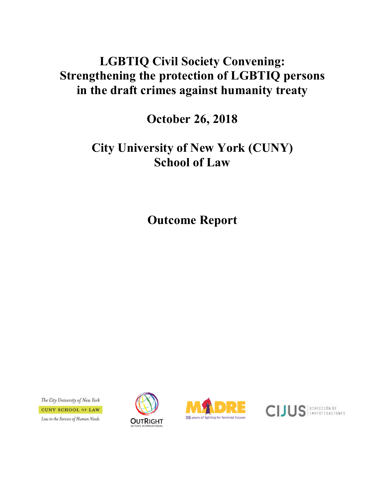# **LGBTIQ Civil Society Convening: Strengthening the protection of LGBTIQ persons in the draft crimes against humanity treaty**

**October 26, 2018**

# **City University of New York (CUNY) School of Law**

**Outcome Report**

The City University of New York **CUNY SCHOOL OF LAW** Law in the Service of Human Needs





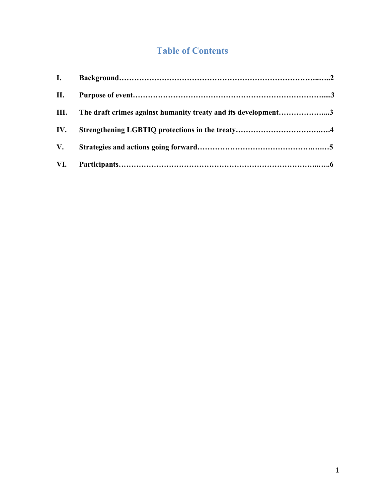## **Table of Contents**

| II. |                                                                    |  |
|-----|--------------------------------------------------------------------|--|
|     | III. The draft crimes against humanity treaty and its development3 |  |
|     |                                                                    |  |
|     |                                                                    |  |
|     |                                                                    |  |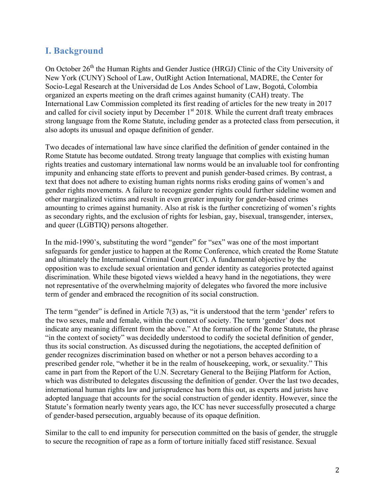### **I. Background**

On October 26<sup>th</sup> the Human Rights and Gender Justice (HRGJ) Clinic of the City University of New York (CUNY) School of Law, OutRight Action International, MADRE, the Center for Socio-Legal Research at the Universidad de Los Andes School of Law, Bogotá, Colombia organized an experts meeting on the draft crimes against humanity (CAH) treaty. The International Law Commission completed its first reading of articles for the new treaty in 2017 and called for civil society input by December  $1<sup>st</sup>$  2018. While the current draft treaty embraces strong language from the Rome Statute, including gender as a protected class from persecution, it also adopts its unusual and opaque definition of gender.

Two decades of international law have since clarified the definition of gender contained in the Rome Statute has become outdated. Strong treaty language that complies with existing human rights treaties and customary international law norms would be an invaluable tool for confronting impunity and enhancing state efforts to prevent and punish gender-based crimes. By contrast, a text that does not adhere to existing human rights norms risks eroding gains of women's and gender rights movements. A failure to recognize gender rights could further sideline women and other marginalized victims and result in even greater impunity for gender-based crimes amounting to crimes against humanity. Also at risk is the further concretizing of women's rights as secondary rights, and the exclusion of rights for lesbian, gay, bisexual, transgender, intersex, and queer (LGBTIQ) persons altogether.

In the mid-1990's, substituting the word "gender" for "sex" was one of the most important safeguards for gender justice to happen at the Rome Conference, which created the Rome Statute and ultimately the International Criminal Court (ICC). A fundamental objective by the opposition was to exclude sexual orientation and gender identity as categories protected against discrimination. While these bigoted views wielded a heavy hand in the negotiations, they were not representative of the overwhelming majority of delegates who favored the more inclusive term of gender and embraced the recognition of its social construction.

The term "gender" is defined in Article  $7(3)$  as, "it is understood that the term 'gender' refers to the two sexes, male and female, within the context of society. The term 'gender' does not indicate any meaning different from the above." At the formation of the Rome Statute, the phrase "in the context of society" was decidedly understood to codify the societal definition of gender, thus its social construction. As discussed during the negotiations, the accepted definition of gender recognizes discrimination based on whether or not a person behaves according to a prescribed gender role, "whether it be in the realm of housekeeping, work, or sexuality." This came in part from the Report of the U.N. Secretary General to the Beijing Platform for Action, which was distributed to delegates discussing the definition of gender. Over the last two decades, international human rights law and jurisprudence has born this out, as experts and jurists have adopted language that accounts for the social construction of gender identity. However, since the Statute's formation nearly twenty years ago, the ICC has never successfully prosecuted a charge of gender-based persecution, arguably because of its opaque definition.

Similar to the call to end impunity for persecution committed on the basis of gender, the struggle to secure the recognition of rape as a form of torture initially faced stiff resistance. Sexual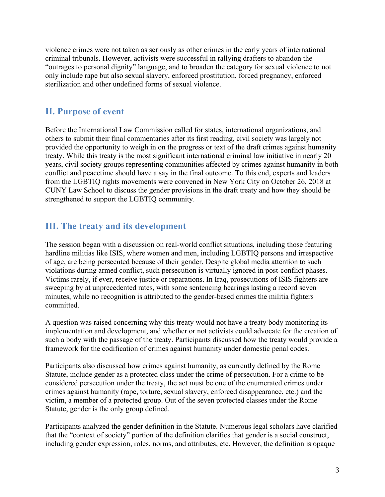violence crimes were not taken as seriously as other crimes in the early years of international criminal tribunals. However, activists were successful in rallying drafters to abandon the "outrages to personal dignity" language, and to broaden the category for sexual violence to not only include rape but also sexual slavery, enforced prostitution, forced pregnancy, enforced sterilization and other undefined forms of sexual violence.

#### **II. Purpose of event**

Before the International Law Commission called for states, international organizations, and others to submit their final commentaries after its first reading, civil society was largely not provided the opportunity to weigh in on the progress or text of the draft crimes against humanity treaty. While this treaty is the most significant international criminal law initiative in nearly 20 years, civil society groups representing communities affected by crimes against humanity in both conflict and peacetime should have a say in the final outcome. To this end, experts and leaders from the LGBTIQ rights movements were convened in New York City on October 26, 2018 at CUNY Law School to discuss the gender provisions in the draft treaty and how they should be strengthened to support the LGBTIQ community.

#### **III. The treaty and its development**

The session began with a discussion on real-world conflict situations, including those featuring hardline militias like ISIS, where women and men, including LGBTIQ persons and irrespective of age, are being persecuted because of their gender. Despite global media attention to such violations during armed conflict, such persecution is virtually ignored in post-conflict phases. Victims rarely, if ever, receive justice or reparations. In Iraq, prosecutions of ISIS fighters are sweeping by at unprecedented rates, with some sentencing hearings lasting a record seven minutes, while no recognition is attributed to the gender-based crimes the militia fighters committed.

A question was raised concerning why this treaty would not have a treaty body monitoring its implementation and development, and whether or not activists could advocate for the creation of such a body with the passage of the treaty. Participants discussed how the treaty would provide a framework for the codification of crimes against humanity under domestic penal codes.

Participants also discussed how crimes against humanity, as currently defined by the Rome Statute, include gender as a protected class under the crime of persecution. For a crime to be considered persecution under the treaty, the act must be one of the enumerated crimes under crimes against humanity (rape, torture, sexual slavery, enforced disappearance, etc.) and the victim, a member of a protected group. Out of the seven protected classes under the Rome Statute, gender is the only group defined.

Participants analyzed the gender definition in the Statute. Numerous legal scholars have clarified that the "context of society" portion of the definition clarifies that gender is a social construct, including gender expression, roles, norms, and attributes, etc. However, the definition is opaque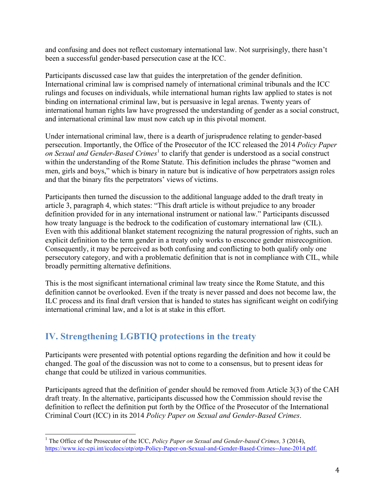and confusing and does not reflect customary international law. Not surprisingly, there hasn't been a successful gender-based persecution case at the ICC.

Participants discussed case law that guides the interpretation of the gender definition. International criminal law is comprised namely of international criminal tribunals and the ICC rulings and focuses on individuals, while international human rights law applied to states is not binding on international criminal law, but is persuasive in legal arenas. Twenty years of international human rights law have progressed the understanding of gender as a social construct, and international criminal law must now catch up in this pivotal moment.

Under international criminal law, there is a dearth of jurisprudence relating to gender-based persecution. Importantly, the Office of the Prosecutor of the ICC released the 2014 *Policy Paper on Sexual and Gender-Based Crimes*<sup>1</sup> to clarify that gender is understood as a social construct within the understanding of the Rome Statute. This definition includes the phrase "women and men, girls and boys," which is binary in nature but is indicative of how perpetrators assign roles and that the binary fits the perpetrators' views of victims.

Participants then turned the discussion to the additional language added to the draft treaty in article 3, paragraph 4, which states: "This draft article is without prejudice to any broader definition provided for in any international instrument or national law." Participants discussed how treaty language is the bedrock to the codification of customary international law (CIL). Even with this additional blanket statement recognizing the natural progression of rights, such an explicit definition to the term gender in a treaty only works to ensconce gender misrecognition. Consequently, it may be perceived as both confusing and conflicting to both qualify only one persecutory category, and with a problematic definition that is not in compliance with CIL, while broadly permitting alternative definitions.

This is the most significant international criminal law treaty since the Rome Statute, and this definition cannot be overlooked. Even if the treaty is never passed and does not become law, the ILC process and its final draft version that is handed to states has significant weight on codifying international criminal law, and a lot is at stake in this effort.

### **IV. Strengthening LGBTIQ protections in the treaty**

Participants were presented with potential options regarding the definition and how it could be changed. The goal of the discussion was not to come to a consensus, but to present ideas for change that could be utilized in various communities.

Participants agreed that the definition of gender should be removed from Article 3(3) of the CAH draft treaty. In the alternative, participants discussed how the Commission should revise the definition to reflect the definition put forth by the Office of the Prosecutor of the International Criminal Court (ICC) in its 2014 *Policy Paper on Sexual and Gender-Based Crimes*.

<sup>&</sup>lt;sup>1</sup> The Office of the Prosecutor of the ICC, *Policy Paper on Sexual and Gender-based Crimes*, 3 (2014), https://www.icc-cpi.int/iccdocs/otp/otp-Policy-Paper-on-Sexual-and-Gender-Based-Crimes--June-2014.pdf.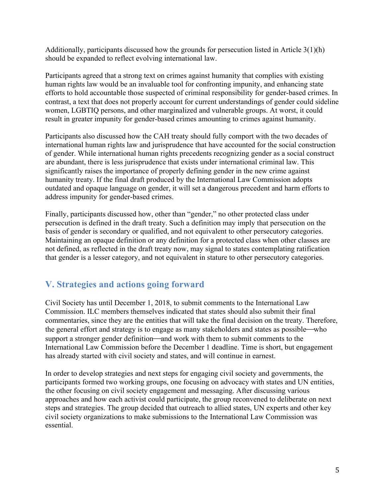Additionally, participants discussed how the grounds for persecution listed in Article 3(1)(h) should be expanded to reflect evolving international law.

Participants agreed that a strong text on crimes against humanity that complies with existing human rights law would be an invaluable tool for confronting impunity, and enhancing state efforts to hold accountable those suspected of criminal responsibility for gender-based crimes. In contrast, a text that does not properly account for current understandings of gender could sideline women, LGBTIQ persons, and other marginalized and vulnerable groups. At worst, it could result in greater impunity for gender-based crimes amounting to crimes against humanity.

Participants also discussed how the CAH treaty should fully comport with the two decades of international human rights law and jurisprudence that have accounted for the social construction of gender. While international human rights precedents recognizing gender as a social construct are abundant, there is less jurisprudence that exists under international criminal law. This significantly raises the importance of properly defining gender in the new crime against humanity treaty. If the final draft produced by the International Law Commission adopts outdated and opaque language on gender, it will set a dangerous precedent and harm efforts to address impunity for gender-based crimes.

Finally, participants discussed how, other than "gender," no other protected class under persecution is defined in the draft treaty. Such a definition may imply that persecution on the basis of gender is secondary or qualified, and not equivalent to other persecutory categories. Maintaining an opaque definition or any definition for a protected class when other classes are not defined, as reflected in the draft treaty now, may signal to states contemplating ratification that gender is a lesser category, and not equivalent in stature to other persecutory categories.

### **V. Strategies and actions going forward**

Civil Society has until December 1, 2018, to submit comments to the International Law Commission. ILC members themselves indicated that states should also submit their final commentaries, since they are the entities that will take the final decision on the treaty. Therefore, the general effort and strategy is to engage as many stakeholders and states as possible—who support a stronger gender definition—and work with them to submit comments to the International Law Commission before the December 1 deadline. Time is short, but engagement has already started with civil society and states, and will continue in earnest.

In order to develop strategies and next steps for engaging civil society and governments, the participants formed two working groups, one focusing on advocacy with states and UN entities, the other focusing on civil society engagement and messaging. After discussing various approaches and how each activist could participate, the group reconvened to deliberate on next steps and strategies. The group decided that outreach to allied states, UN experts and other key civil society organizations to make submissions to the International Law Commission was essential.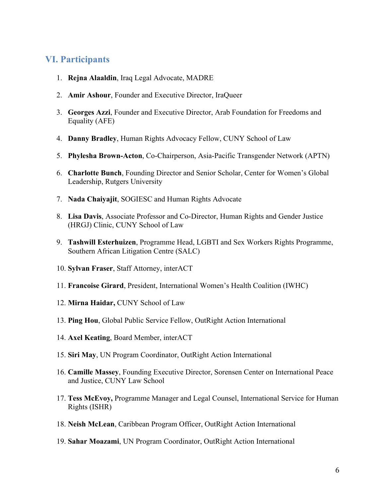#### **VI. Participants**

- 1. **Rejna Alaaldin**, Iraq Legal Advocate, MADRE
- 2. **Amir Ashour**, Founder and Executive Director, IraQueer
- 3. **Georges Azzi**, Founder and Executive Director, Arab Foundation for Freedoms and Equality (AFE)
- 4. **Danny Bradley**, Human Rights Advocacy Fellow, CUNY School of Law
- 5. **Phylesha Brown-Acton**, Co-Chairperson, Asia-Pacific Transgender Network (APTN)
- 6. **Charlotte Bunch**, Founding Director and Senior Scholar, Center for Women's Global Leadership, Rutgers University
- 7. **Nada Chaiyajit**, SOGIESC and Human Rights Advocate
- 8. **Lisa Davis**, Associate Professor and Co-Director, Human Rights and Gender Justice (HRGJ) Clinic, CUNY School of Law
- 9. **Tashwill Esterhuizen**, Programme Head, LGBTI and Sex Workers Rights Programme, Southern African Litigation Centre (SALC)
- 10. **Sylvan Fraser**, Staff Attorney, interACT
- 11. **Francoise Girard**, President, International Women's Health Coalition (IWHC)
- 12. **Mirna Haidar,** CUNY School of Law
- 13. **Ping Hou**, Global Public Service Fellow, OutRight Action International
- 14. **Axel Keating**, Board Member, interACT
- 15. **Siri May**, UN Program Coordinator, OutRight Action International
- 16. **Camille Massey**, Founding Executive Director, Sorensen Center on International Peace and Justice, CUNY Law School
- 17. **Tess McEvoy,** Programme Manager and Legal Counsel, International Service for Human Rights (ISHR)
- 18. **Neish McLean**, Caribbean Program Officer, OutRight Action International
- 19. **Sahar Moazami**, UN Program Coordinator, OutRight Action International